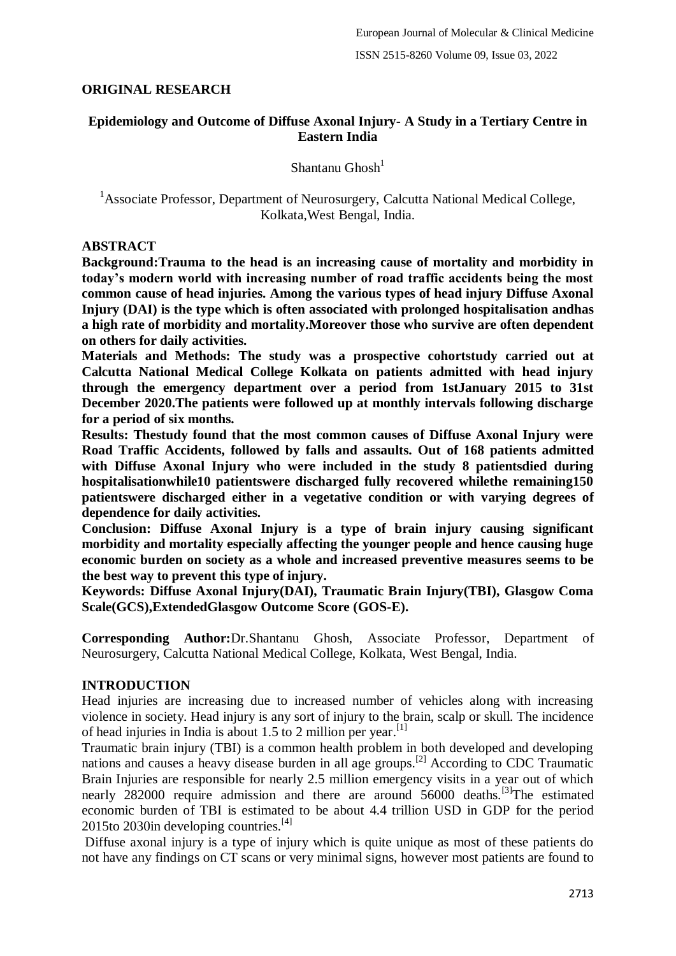# **ORIGINAL RESEARCH**

## **Epidemiology and Outcome of Diffuse Axonal Injury- A Study in a Tertiary Centre in Eastern India**

Shantanu Ghosh $<sup>1</sup>$ </sup>

<sup>1</sup> Associate Professor, Department of Neurosurgery, Calcutta National Medical College, Kolkata,West Bengal, India.

### **ABSTRACT**

**Background:Trauma to the head is an increasing cause of mortality and morbidity in today's modern world with increasing number of road traffic accidents being the most common cause of head injuries. Among the various types of head injury Diffuse Axonal Injury (DAI) is the type which is often associated with prolonged hospitalisation andhas a high rate of morbidity and mortality.Moreover those who survive are often dependent on others for daily activities.**

**Materials and Methods: The study was a prospective cohortstudy carried out at Calcutta National Medical College Kolkata on patients admitted with head injury through the emergency department over a period from 1stJanuary 2015 to 31st December 2020.The patients were followed up at monthly intervals following discharge for a period of six months.**

**Results: Thestudy found that the most common causes of Diffuse Axonal Injury were Road Traffic Accidents, followed by falls and assaults. Out of 168 patients admitted with Diffuse Axonal Injury who were included in the study 8 patientsdied during hospitalisationwhile10 patientswere discharged fully recovered whilethe remaining150 patientswere discharged either in a vegetative condition or with varying degrees of dependence for daily activities.**

**Conclusion: Diffuse Axonal Injury is a type of brain injury causing significant morbidity and mortality especially affecting the younger people and hence causing huge economic burden on society as a whole and increased preventive measures seems to be the best way to prevent this type of injury.**

**Keywords: Diffuse Axonal Injury(DAI), Traumatic Brain Injury(TBI), Glasgow Coma Scale(GCS),ExtendedGlasgow Outcome Score (GOS-E).**

**Corresponding Author:**Dr.Shantanu Ghosh, Associate Professor, Department of Neurosurgery, Calcutta National Medical College, Kolkata, West Bengal, India.

# **INTRODUCTION**

Head injuries are increasing due to increased number of vehicles along with increasing violence in society. Head injury is any sort of injury to the brain, scalp or skull. The incidence of head injuries in India is about 1.5 to 2 million per year.<sup>[1]</sup>

Traumatic brain injury (TBI) is a common health problem in both developed and developing nations and causes a heavy disease burden in all age groups.<sup>[2]</sup> According to CDC Traumatic Brain Injuries are responsible for nearly 2.5 million emergency visits in a year out of which nearly 282000 require admission and there are around 56000 deaths.<sup>[3]</sup>The estimated economic burden of TBI is estimated to be about 4.4 trillion USD in GDP for the period 2015to 2030in developing countries. $^{[4]}$ 

Diffuse axonal injury is a type of injury which is quite unique as most of these patients do not have any findings on CT scans or very minimal signs, however most patients are found to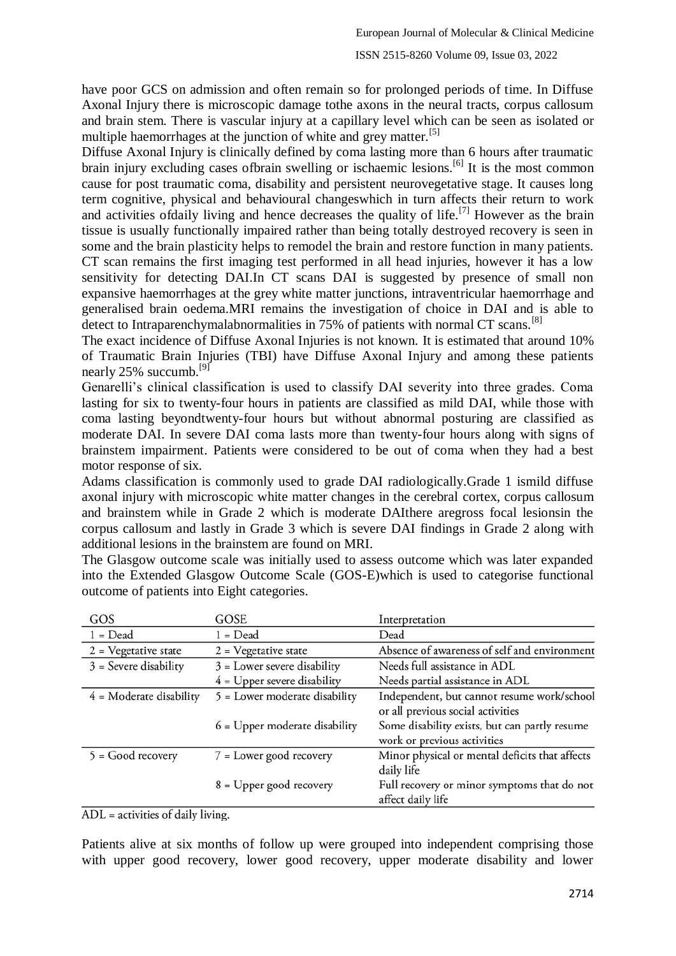### ISSN 2515-8260 Volume 09, Issue 03, 2022

have poor GCS on admission and often remain so for prolonged periods of time. In Diffuse Axonal Injury there is microscopic damage tothe axons in the neural tracts, corpus callosum and brain stem. There is vascular injury at a capillary level which can be seen as isolated or multiple haemorrhages at the junction of white and grey matter.<sup>[5]</sup>

Diffuse Axonal Injury is clinically defined by coma lasting more than 6 hours after traumatic brain injury excluding cases of brain swelling or ischaemic lesions.<sup>[6]</sup> It is the most common cause for post traumatic coma, disability and persistent neurovegetative stage. It causes long term cognitive, physical and behavioural changeswhich in turn affects their return to work and activities of daily living and hence decreases the quality of life.<sup>[7]</sup> However as the brain tissue is usually functionally impaired rather than being totally destroyed recovery is seen in some and the brain plasticity helps to remodel the brain and restore function in many patients. CT scan remains the first imaging test performed in all head injuries, however it has a low sensitivity for detecting DAI.In CT scans DAI is suggested by presence of small non expansive haemorrhages at the grey white matter junctions, intraventricular haemorrhage and generalised brain oedema.MRI remains the investigation of choice in DAI and is able to detect to Intraparenchymalabnormalities in 75% of patients with normal CT scans.<sup>[8]</sup>

The exact incidence of Diffuse Axonal Injuries is not known. It is estimated that around 10% of Traumatic Brain Injuries (TBI) have Diffuse Axonal Injury and among these patients nearly 25% succumb.<sup>[9]</sup>

Genarelli's clinical classification is used to classify DAI severity into three grades. Coma lasting for six to twenty-four hours in patients are classified as mild DAI, while those with coma lasting beyondtwenty-four hours but without abnormal posturing are classified as moderate DAI. In severe DAI coma lasts more than twenty-four hours along with signs of brainstem impairment. Patients were considered to be out of coma when they had a best motor response of six.

Adams classification is commonly used to grade DAI radiologically.Grade 1 ismild diffuse axonal injury with microscopic white matter changes in the cerebral cortex, corpus callosum and brainstem while in Grade 2 which is moderate DAIthere aregross focal lesionsin the corpus callosum and lastly in Grade 3 which is severe DAI findings in Grade 2 along with additional lesions in the brainstem are found on MRI.

The Glasgow outcome scale was initially used to assess outcome which was later expanded into the Extended Glasgow Outcome Scale (GOS-E)which is used to categorise functional outcome of patients into Eight categories.

| GOS                       | GOSE                            | Interpretation                                 |
|---------------------------|---------------------------------|------------------------------------------------|
| $1 = Dead$                | $1 = Dead$                      | Dead                                           |
| $2$ = Vegetative state    | $2$ = Vegetative state          | Absence of awareness of self and environment   |
| $3$ = Severe disability   | $3$ = Lower severe disability   | Needs full assistance in ADL                   |
|                           | $4$ = Upper severe disability   | Needs partial assistance in ADL                |
| $4$ = Moderate disability | 5 = Lower moderate disability   | Independent, but cannot resume work/school     |
|                           |                                 | or all previous social activities              |
|                           | $6$ = Upper moderate disability | Some disability exists, but can partly resume  |
|                           |                                 | work or previous activities                    |
| $5 = Good recovery$       | 7 = Lower good recovery         | Minor physical or mental deficits that affects |
|                           |                                 | daily life                                     |
|                           | 8 = Upper good recovery         | Full recovery or minor symptoms that do not    |
|                           |                                 | affect daily life                              |

 $ADL =$  activities of daily living.

Patients alive at six months of follow up were grouped into independent comprising those with upper good recovery, lower good recovery, upper moderate disability and lower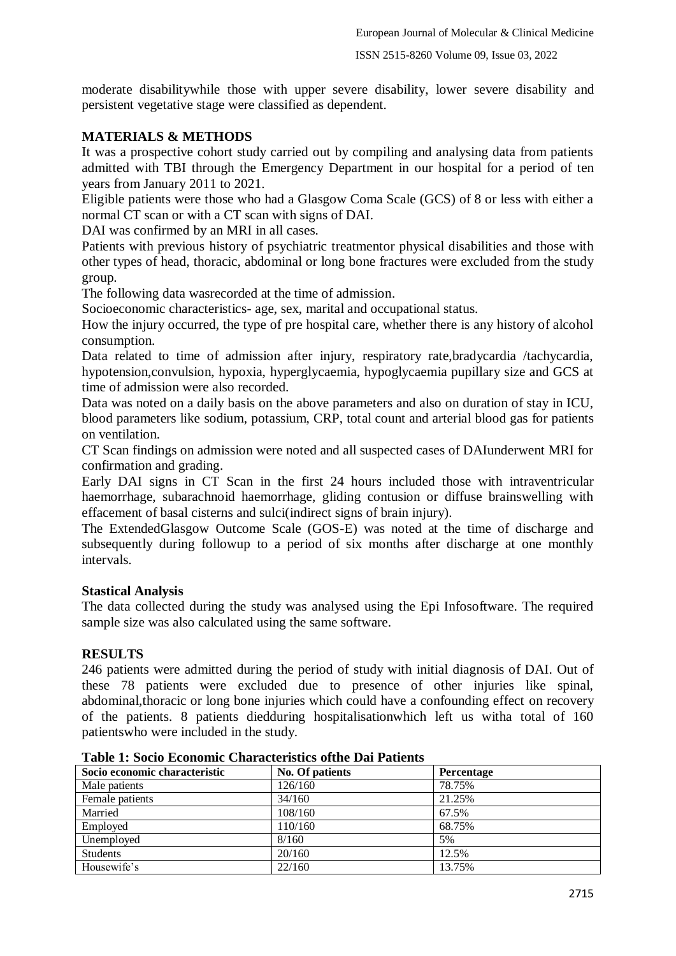moderate disabilitywhile those with upper severe disability, lower severe disability and persistent vegetative stage were classified as dependent.

# **MATERIALS & METHODS**

It was a prospective cohort study carried out by compiling and analysing data from patients admitted with TBI through the Emergency Department in our hospital for a period of ten years from January 2011 to 2021.

Eligible patients were those who had a Glasgow Coma Scale (GCS) of 8 or less with either a normal CT scan or with a CT scan with signs of DAI.

DAI was confirmed by an MRI in all cases.

Patients with previous history of psychiatric treatmentor physical disabilities and those with other types of head, thoracic, abdominal or long bone fractures were excluded from the study group.

The following data wasrecorded at the time of admission.

Socioeconomic characteristics- age, sex, marital and occupational status.

How the injury occurred, the type of pre hospital care, whether there is any history of alcohol consumption.

Data related to time of admission after injury, respiratory rate, bradycardia /tachycardia, hypotension,convulsion, hypoxia, hyperglycaemia, hypoglycaemia pupillary size and GCS at time of admission were also recorded.

Data was noted on a daily basis on the above parameters and also on duration of stay in ICU, blood parameters like sodium, potassium, CRP, total count and arterial blood gas for patients on ventilation.

CT Scan findings on admission were noted and all suspected cases of DAIunderwent MRI for confirmation and grading.

Early DAI signs in CT Scan in the first 24 hours included those with intraventricular haemorrhage, subarachnoid haemorrhage, gliding contusion or diffuse brainswelling with effacement of basal cisterns and sulci(indirect signs of brain injury).

The ExtendedGlasgow Outcome Scale (GOS-E) was noted at the time of discharge and subsequently during followup to a period of six months after discharge at one monthly intervals.

# **Stastical Analysis**

The data collected during the study was analysed using the Epi Infosoftware. The required sample size was also calculated using the same software.

# **RESULTS**

246 patients were admitted during the period of study with initial diagnosis of DAI. Out of these 78 patients were excluded due to presence of other injuries like spinal, abdominal,thoracic or long bone injuries which could have a confounding effect on recovery of the patients. 8 patients diedduring hospitalisationwhich left us witha total of 160 patientswho were included in the study.

| Socio economic characteristic | No. Of patients | Percentage |
|-------------------------------|-----------------|------------|
| Male patients                 | 126/160         | 78.75%     |
| Female patients               | 34/160          | 21.25%     |
| Married                       | 108/160         | 67.5%      |
| Employed                      | 110/160         | 68.75%     |
| Unemployed                    | 8/160           | 5%         |
| <b>Students</b>               | 20/160          | 12.5%      |
| Housewife's                   | 22/160          | 13.75%     |

|  |  |  |  | <b>Table 1: Socio Economic Characteristics of the Dai Patients</b> |
|--|--|--|--|--------------------------------------------------------------------|
|--|--|--|--|--------------------------------------------------------------------|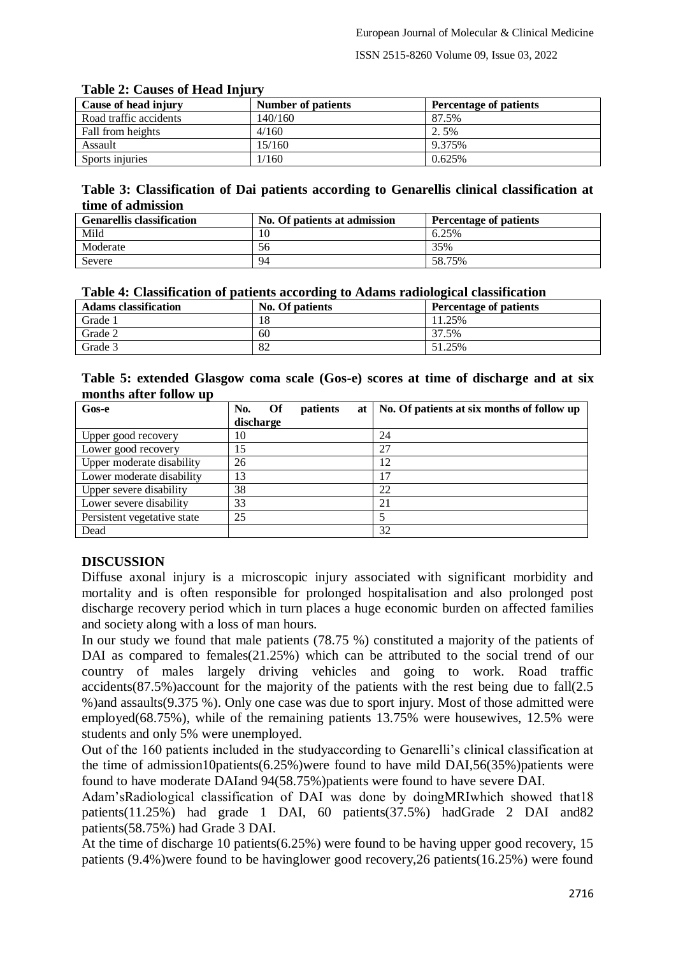#### ISSN 2515-8260 Volume 09, Issue 03, 2022

| A WAXAY SI YO WAADYO QA AAVWA AALIMA |                    |                               |  |  |  |  |  |
|--------------------------------------|--------------------|-------------------------------|--|--|--|--|--|
| Cause of head injury                 | Number of patients | <b>Percentage of patients</b> |  |  |  |  |  |
| Road traffic accidents               | 140/160            | 87.5%                         |  |  |  |  |  |
| Fall from heights                    | 4/160              | 2.5%                          |  |  |  |  |  |
| Assault                              | 15/160             | 9.375%                        |  |  |  |  |  |
| Sports injuries                      | 1/160              | 0.625%                        |  |  |  |  |  |

### **Table 2: Causes of Head Injury**

## **Table 3: Classification of Dai patients according to Genarellis clinical classification at time of admission**

| <b>Genarellis classification</b> | No. Of patients at admission | <b>Percentage of patients</b> |
|----------------------------------|------------------------------|-------------------------------|
| Mild                             | 10                           | 6.25%                         |
| Moderate                         | 56                           | 35%                           |
| Severe                           | 94                           | 58.75%                        |

### **Table 4: Classification of patients according to Adams radiological classification**

| <b>Adams</b> classification | No. Of patients | Percentage of patients |
|-----------------------------|-----------------|------------------------|
| Grade 1                     | 18              | 11.25%                 |
| Grade 2                     | 60              | 37.5%                  |
| Grade 3                     | 82              | 51.25%                 |

| Table 5: extended Glasgow coma scale (Gos-e) scores at time of discharge and at six |  |  |  |  |  |  |
|-------------------------------------------------------------------------------------|--|--|--|--|--|--|
| months after follow up                                                              |  |  |  |  |  |  |

| Gos-e                       | - Of<br>No.<br>patients<br>at 1 | No. Of patients at six months of follow up |
|-----------------------------|---------------------------------|--------------------------------------------|
|                             | discharge                       |                                            |
| Upper good recovery         | 10                              | 24                                         |
| Lower good recovery         | 15                              | 27                                         |
| Upper moderate disability   | 26                              | 12                                         |
| Lower moderate disability   | 13                              | 17                                         |
| Upper severe disability     | 38                              | 22                                         |
| Lower severe disability     | 33                              | 21                                         |
| Persistent vegetative state | 25                              |                                            |
| Dead                        |                                 | 32                                         |

# **DISCUSSION**

Diffuse axonal injury is a microscopic injury associated with significant morbidity and mortality and is often responsible for prolonged hospitalisation and also prolonged post discharge recovery period which in turn places a huge economic burden on affected families and society along with a loss of man hours.

In our study we found that male patients (78.75 %) constituted a majority of the patients of DAI as compared to females(21.25%) which can be attributed to the social trend of our country of males largely driving vehicles and going to work. Road traffic accidents(87.5%)account for the majority of the patients with the rest being due to fall(2.5 %)and assaults(9.375 %). Only one case was due to sport injury. Most of those admitted were employed(68.75%), while of the remaining patients 13.75% were housewives, 12.5% were students and only 5% were unemployed.

Out of the 160 patients included in the studyaccording to Genarelli's clinical classification at the time of admission10patients(6.25%)were found to have mild DAI,56(35%)patients were found to have moderate DAIand 94(58.75%)patients were found to have severe DAI.

Adam'sRadiological classification of DAI was done by doingMRIwhich showed that18 patients(11.25%) had grade 1 DAI, 60 patients(37.5%) hadGrade 2 DAI and82 patients(58.75%) had Grade 3 DAI.

At the time of discharge 10 patients(6.25%) were found to be having upper good recovery, 15 patients (9.4%)were found to be havinglower good recovery,26 patients(16.25%) were found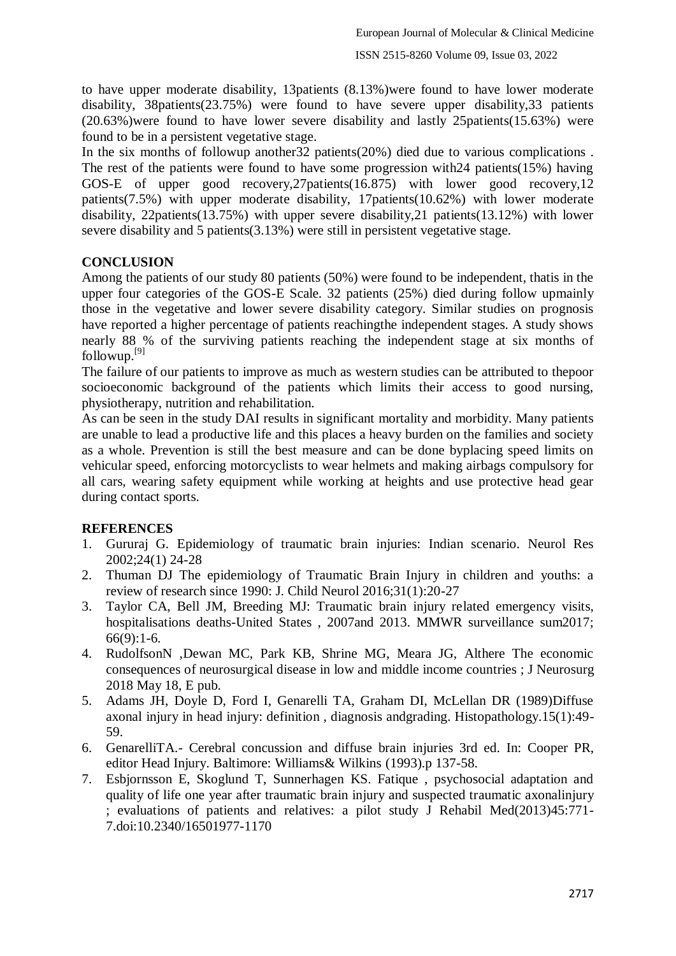to have upper moderate disability, 13patients (8.13%)were found to have lower moderate disability, 38patients(23.75%) were found to have severe upper disability,33 patients (20.63%)were found to have lower severe disability and lastly 25patients(15.63%) were found to be in a persistent vegetative stage.

In the six months of followup another32 patients(20%) died due to various complications . The rest of the patients were found to have some progression with24 patients(15%) having GOS-E of upper good recovery,27patients(16.875) with lower good recovery,12 patients(7.5%) with upper moderate disability, 17patients(10.62%) with lower moderate disability, 22patients(13.75%) with upper severe disability,21 patients(13.12%) with lower severe disability and 5 patients(3.13%) were still in persistent vegetative stage.

## **CONCLUSION**

Among the patients of our study 80 patients (50%) were found to be independent, thatis in the upper four categories of the GOS-E Scale. 32 patients (25%) died during follow upmainly those in the vegetative and lower severe disability category. Similar studies on prognosis have reported a higher percentage of patients reachingthe independent stages. A study shows nearly 88 % of the surviving patients reaching the independent stage at six months of followup.[9]

The failure of our patients to improve as much as western studies can be attributed to thepoor socioeconomic background of the patients which limits their access to good nursing, physiotherapy, nutrition and rehabilitation.

As can be seen in the study DAI results in significant mortality and morbidity. Many patients are unable to lead a productive life and this places a heavy burden on the families and society as a whole. Prevention is still the best measure and can be done byplacing speed limits on vehicular speed, enforcing motorcyclists to wear helmets and making airbags compulsory for all cars, wearing safety equipment while working at heights and use protective head gear during contact sports.

### **REFERENCES**

- 1. Gururaj G. Epidemiology of traumatic brain injuries: Indian scenario. Neurol Res 2002;24(1) 24-28
- 2. Thuman DJ The epidemiology of Traumatic Brain Injury in children and youths: a review of research since 1990: J. Child Neurol 2016;31(1):20-27
- 3. Taylor CA, Bell JM, Breeding MJ: Traumatic brain injury related emergency visits, hospitalisations deaths-United States , 2007and 2013. MMWR surveillance sum2017; 66(9):1-6.
- 4. RudolfsonN ,Dewan MC, Park KB, Shrine MG, Meara JG, Althere The economic consequences of neurosurgical disease in low and middle income countries ; J Neurosurg 2018 May 18, E pub.
- 5. Adams JH, Doyle D, Ford I, Genarelli TA, Graham DI, McLellan DR (1989)Diffuse axonal injury in head injury: definition , diagnosis andgrading. Histopathology.15(1):49- 59.
- 6. GenarelliTA.- Cerebral concussion and diffuse brain injuries 3rd ed. In: Cooper PR, editor Head Injury. Baltimore: Williams& Wilkins (1993).p 137-58.
- 7. Esbjornsson E, Skoglund T, Sunnerhagen KS. Fatique , psychosocial adaptation and quality of life one year after traumatic brain injury and suspected traumatic axonalinjury ; evaluations of patients and relatives: a pilot study J Rehabil Med(2013)45:771- 7.doi:10.2340/16501977-1170